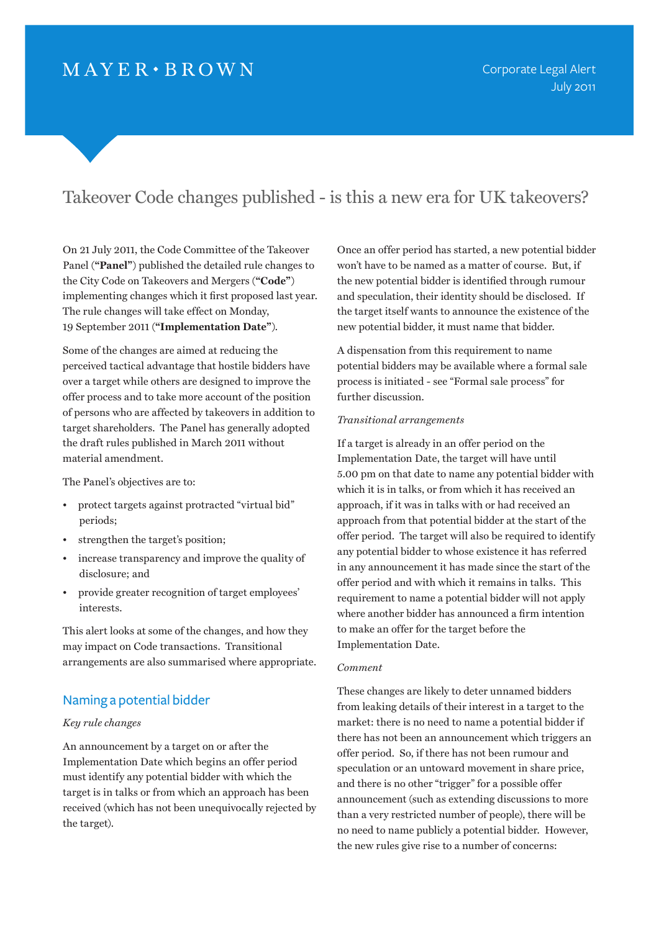# $MAYER \cdot BROWN$

# Takeover Code changes published - is this a new era for UK takeovers?

On 21 July 2011, the Code Committee of the Takeover Panel (**"Panel"**) published the detailed rule changes to the City Code on Takeovers and Mergers (**"Code"**) implementing changes which it first proposed last year. The rule changes will take effect on Monday, 19 September 2011 (**"Implementation Date"**).

Some of the changes are aimed at reducing the perceived tactical advantage that hostile bidders have over a target while others are designed to improve the offer process and to take more account of the position of persons who are affected by takeovers in addition to target shareholders. The Panel has generally adopted the draft rules published in March 2011 without material amendment.

The Panel's objectives are to:

- protect targets against protracted "virtual bid" periods;
- strengthen the target's position;
- increase transparency and improve the quality of disclosure; and
- provide greater recognition of target employees' interests.

This alert looks at some of the changes, and how they may impact on Code transactions. Transitional arrangements are also summarised where appropriate.

# Naming a potential bidder

#### *Key rule changes*

An announcement by a target on or after the Implementation Date which begins an offer period must identify any potential bidder with which the target is in talks or from which an approach has been received (which has not been unequivocally rejected by the target).

Once an offer period has started, a new potential bidder won't have to be named as a matter of course. But, if the new potential bidder is identified through rumour and speculation, their identity should be disclosed. If the target itself wants to announce the existence of the new potential bidder, it must name that bidder.

A dispensation from this requirement to name potential bidders may be available where a formal sale process is initiated - see "Formal sale process" for further discussion.

#### *Transitional arrangements*

If a target is already in an offer period on the Implementation Date, the target will have until 5.00 pm on that date to name any potential bidder with which it is in talks, or from which it has received an approach, if it was in talks with or had received an approach from that potential bidder at the start of the offer period. The target will also be required to identify any potential bidder to whose existence it has referred in any announcement it has made since the start of the offer period and with which it remains in talks. This requirement to name a potential bidder will not apply where another bidder has announced a firm intention to make an offer for the target before the Implementation Date.

#### *Comment*

These changes are likely to deter unnamed bidders from leaking details of their interest in a target to the market: there is no need to name a potential bidder if there has not been an announcement which triggers an offer period. So, if there has not been rumour and speculation or an untoward movement in share price, and there is no other "trigger" for a possible offer announcement (such as extending discussions to more than a very restricted number of people), there will be no need to name publicly a potential bidder. However, the new rules give rise to a number of concerns: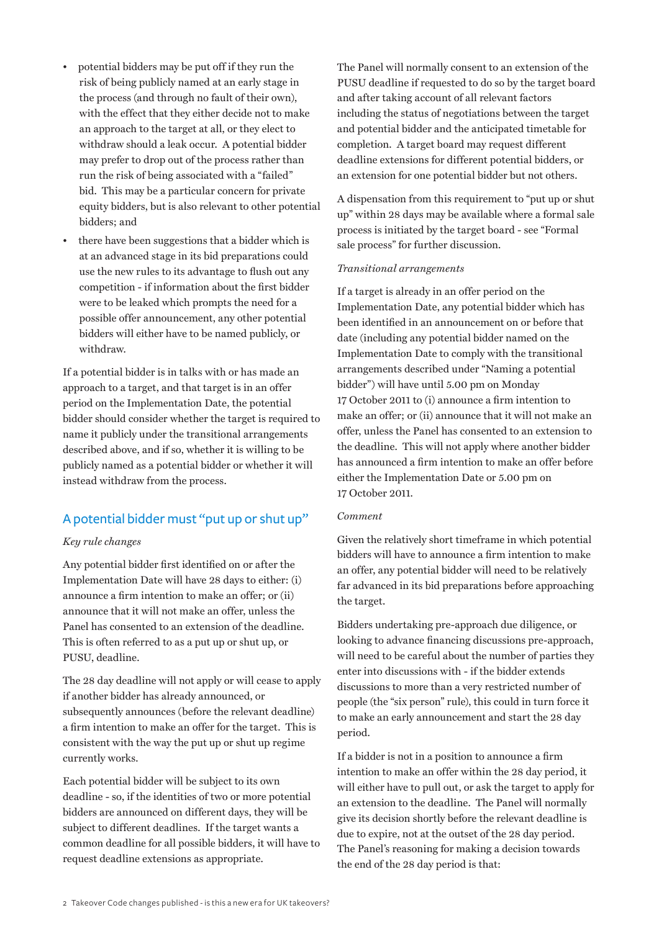- potential bidders may be put off if they run the risk of being publicly named at an early stage in the process (and through no fault of their own), with the effect that they either decide not to make an approach to the target at all, or they elect to withdraw should a leak occur. A potential bidder may prefer to drop out of the process rather than run the risk of being associated with a "failed" bid. This may be a particular concern for private equity bidders, but is also relevant to other potential bidders; and
- there have been suggestions that a bidder which is at an advanced stage in its bid preparations could use the new rules to its advantage to flush out any competition - if information about the first bidder were to be leaked which prompts the need for a possible offer announcement, any other potential bidders will either have to be named publicly, or withdraw.

If a potential bidder is in talks with or has made an approach to a target, and that target is in an offer period on the Implementation Date, the potential bidder should consider whether the target is required to name it publicly under the transitional arrangements described above, and if so, whether it is willing to be publicly named as a potential bidder or whether it will instead withdraw from the process.

# A potential bidder must "put up or shut up"

#### *Key rule changes*

Any potential bidder first identified on or after the Implementation Date will have 28 days to either: (i) announce a firm intention to make an offer; or (ii) announce that it will not make an offer, unless the Panel has consented to an extension of the deadline. This is often referred to as a put up or shut up, or PUSU, deadline.

The 28 day deadline will not apply or will cease to apply if another bidder has already announced, or subsequently announces (before the relevant deadline) a firm intention to make an offer for the target. This is consistent with the way the put up or shut up regime currently works.

Each potential bidder will be subject to its own deadline - so, if the identities of two or more potential bidders are announced on different days, they will be subject to different deadlines. If the target wants a common deadline for all possible bidders, it will have to request deadline extensions as appropriate.

The Panel will normally consent to an extension of the PUSU deadline if requested to do so by the target board and after taking account of all relevant factors including the status of negotiations between the target and potential bidder and the anticipated timetable for completion. A target board may request different deadline extensions for different potential bidders, or an extension for one potential bidder but not others.

A dispensation from this requirement to "put up or shut up" within 28 days may be available where a formal sale process is initiated by the target board - see "Formal sale process" for further discussion.

## *Transitional arrangements*

If a target is already in an offer period on the Implementation Date, any potential bidder which has been identified in an announcement on or before that date (including any potential bidder named on the Implementation Date to comply with the transitional arrangements described under "Naming a potential bidder") will have until 5.00 pm on Monday 17 October 2011 to (i) announce a firm intention to make an offer; or (ii) announce that it will not make an offer, unless the Panel has consented to an extension to the deadline. This will not apply where another bidder has announced a firm intention to make an offer before either the Implementation Date or 5.00 pm on 17 October 2011.

## *Comment*

Given the relatively short timeframe in which potential bidders will have to announce a firm intention to make an offer, any potential bidder will need to be relatively far advanced in its bid preparations before approaching the target.

Bidders undertaking pre-approach due diligence, or looking to advance financing discussions pre-approach, will need to be careful about the number of parties they enter into discussions with - if the bidder extends discussions to more than a very restricted number of people (the "six person" rule), this could in turn force it to make an early announcement and start the 28 day period.

If a bidder is not in a position to announce a firm intention to make an offer within the 28 day period, it will either have to pull out, or ask the target to apply for an extension to the deadline. The Panel will normally give its decision shortly before the relevant deadline is due to expire, not at the outset of the 28 day period. The Panel's reasoning for making a decision towards the end of the 28 day period is that: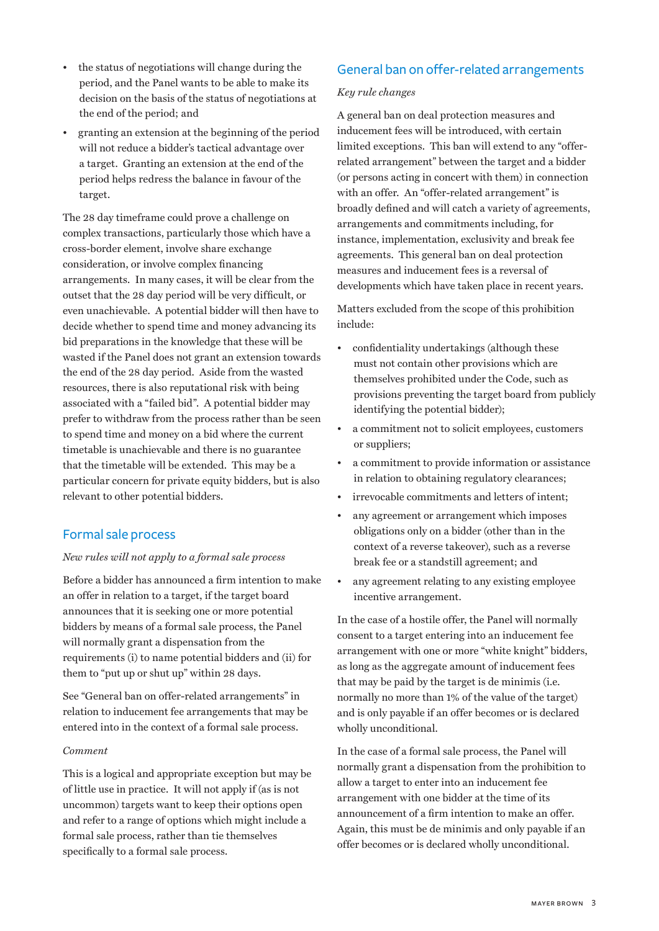- the status of negotiations will change during the period, and the Panel wants to be able to make its decision on the basis of the status of negotiations at the end of the period; and
- granting an extension at the beginning of the period will not reduce a bidder's tactical advantage over a target. Granting an extension at the end of the period helps redress the balance in favour of the target.

The 28 day timeframe could prove a challenge on complex transactions, particularly those which have a cross-border element, involve share exchange consideration, or involve complex financing arrangements. In many cases, it will be clear from the outset that the 28 day period will be very difficult, or even unachievable. A potential bidder will then have to decide whether to spend time and money advancing its bid preparations in the knowledge that these will be wasted if the Panel does not grant an extension towards the end of the 28 day period. Aside from the wasted resources, there is also reputational risk with being associated with a "failed bid". A potential bidder may prefer to withdraw from the process rather than be seen to spend time and money on a bid where the current timetable is unachievable and there is no guarantee that the timetable will be extended. This may be a particular concern for private equity bidders, but is also relevant to other potential bidders.

# Formal sale process

# *New rules will not apply to a formal sale process*

Before a bidder has announced a firm intention to make an offer in relation to a target, if the target board announces that it is seeking one or more potential bidders by means of a formal sale process, the Panel will normally grant a dispensation from the requirements (i) to name potential bidders and (ii) for them to "put up or shut up" within 28 days.

See "General ban on offer-related arrangements" in relation to inducement fee arrangements that may be entered into in the context of a formal sale process.

#### *Comment*

This is a logical and appropriate exception but may be of little use in practice. It will not apply if (as is not uncommon) targets want to keep their options open and refer to a range of options which might include a formal sale process, rather than tie themselves specifically to a formal sale process.

# General ban on offer-related arrangements

## *Key rule changes*

A general ban on deal protection measures and inducement fees will be introduced, with certain limited exceptions. This ban will extend to any "offerrelated arrangement" between the target and a bidder (or persons acting in concert with them) in connection with an offer. An "offer-related arrangement" is broadly defined and will catch a variety of agreements, arrangements and commitments including, for instance, implementation, exclusivity and break fee agreements. This general ban on deal protection measures and inducement fees is a reversal of developments which have taken place in recent years.

Matters excluded from the scope of this prohibition include:

- confidentiality undertakings (although these must not contain other provisions which are themselves prohibited under the Code, such as provisions preventing the target board from publicly identifying the potential bidder);
- a commitment not to solicit employees, customers or suppliers;
- a commitment to provide information or assistance in relation to obtaining regulatory clearances;
- irrevocable commitments and letters of intent;
- any agreement or arrangement which imposes obligations only on a bidder (other than in the context of a reverse takeover), such as a reverse break fee or a standstill agreement; and
- any agreement relating to any existing employee incentive arrangement.

In the case of a hostile offer, the Panel will normally consent to a target entering into an inducement fee arrangement with one or more "white knight" bidders, as long as the aggregate amount of inducement fees that may be paid by the target is de minimis (i.e. normally no more than 1% of the value of the target) and is only payable if an offer becomes or is declared wholly unconditional.

In the case of a formal sale process, the Panel will normally grant a dispensation from the prohibition to allow a target to enter into an inducement fee arrangement with one bidder at the time of its announcement of a firm intention to make an offer. Again, this must be de minimis and only payable if an offer becomes or is declared wholly unconditional.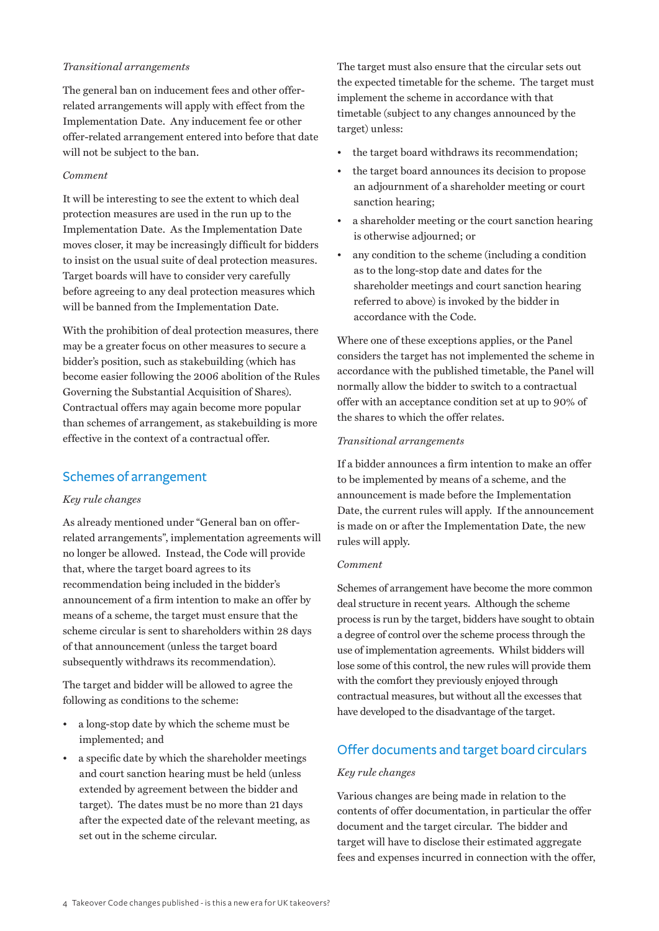#### *Transitional arrangements*

The general ban on inducement fees and other offerrelated arrangements will apply with effect from the Implementation Date. Any inducement fee or other offer-related arrangement entered into before that date will not be subject to the ban.

## *Comment*

It will be interesting to see the extent to which deal protection measures are used in the run up to the Implementation Date. As the Implementation Date moves closer, it may be increasingly difficult for bidders to insist on the usual suite of deal protection measures. Target boards will have to consider very carefully before agreeing to any deal protection measures which will be banned from the Implementation Date.

With the prohibition of deal protection measures, there may be a greater focus on other measures to secure a bidder's position, such as stakebuilding (which has become easier following the 2006 abolition of the Rules Governing the Substantial Acquisition of Shares). Contractual offers may again become more popular than schemes of arrangement, as stakebuilding is more effective in the context of a contractual offer.

# Schemes of arrangement

# *Key rule changes*

As already mentioned under "General ban on offerrelated arrangements", implementation agreements will no longer be allowed. Instead, the Code will provide that, where the target board agrees to its recommendation being included in the bidder's announcement of a firm intention to make an offer by means of a scheme, the target must ensure that the scheme circular is sent to shareholders within 28 days of that announcement (unless the target board subsequently withdraws its recommendation).

The target and bidder will be allowed to agree the following as conditions to the scheme:

- a long-stop date by which the scheme must be implemented; and
- a specific date by which the shareholder meetings and court sanction hearing must be held (unless extended by agreement between the bidder and target). The dates must be no more than 21 days after the expected date of the relevant meeting, as set out in the scheme circular.

The target must also ensure that the circular sets out the expected timetable for the scheme. The target must implement the scheme in accordance with that timetable (subject to any changes announced by the target) unless:

- the target board withdraws its recommendation;
- the target board announces its decision to propose an adjournment of a shareholder meeting or court sanction hearing;
- a shareholder meeting or the court sanction hearing is otherwise adjourned; or
- any condition to the scheme (including a condition as to the long-stop date and dates for the shareholder meetings and court sanction hearing referred to above) is invoked by the bidder in accordance with the Code.

Where one of these exceptions applies, or the Panel considers the target has not implemented the scheme in accordance with the published timetable, the Panel will normally allow the bidder to switch to a contractual offer with an acceptance condition set at up to 90% of the shares to which the offer relates.

## *Transitional arrangements*

If a bidder announces a firm intention to make an offer to be implemented by means of a scheme, and the announcement is made before the Implementation Date, the current rules will apply. If the announcement is made on or after the Implementation Date, the new rules will apply.

#### *Comment*

Schemes of arrangement have become the more common deal structure in recent years. Although the scheme process is run by the target, bidders have sought to obtain a degree of control over the scheme process through the use of implementation agreements. Whilst bidders will lose some of this control, the new rules will provide them with the comfort they previously enjoyed through contractual measures, but without all the excesses that have developed to the disadvantage of the target.

# Offer documents and target board circulars

# *Key rule changes*

Various changes are being made in relation to the contents of offer documentation, in particular the offer document and the target circular. The bidder and target will have to disclose their estimated aggregate fees and expenses incurred in connection with the offer,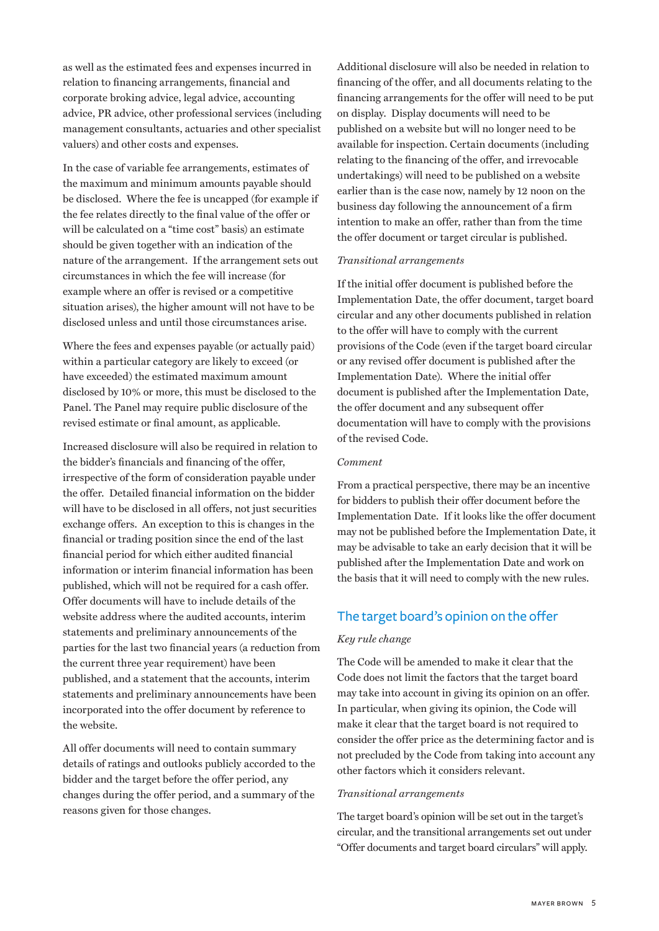as well as the estimated fees and expenses incurred in relation to financing arrangements, financial and corporate broking advice, legal advice, accounting advice, PR advice, other professional services (including management consultants, actuaries and other specialist valuers) and other costs and expenses.

In the case of variable fee arrangements, estimates of the maximum and minimum amounts payable should be disclosed. Where the fee is uncapped (for example if the fee relates directly to the final value of the offer or will be calculated on a "time cost" basis) an estimate should be given together with an indication of the nature of the arrangement. If the arrangement sets out circumstances in which the fee will increase (for example where an offer is revised or a competitive situation arises), the higher amount will not have to be disclosed unless and until those circumstances arise.

Where the fees and expenses payable (or actually paid) within a particular category are likely to exceed (or have exceeded) the estimated maximum amount disclosed by 10% or more, this must be disclosed to the Panel. The Panel may require public disclosure of the revised estimate or final amount, as applicable.

Increased disclosure will also be required in relation to the bidder's financials and financing of the offer, irrespective of the form of consideration payable under the offer. Detailed financial information on the bidder will have to be disclosed in all offers, not just securities exchange offers. An exception to this is changes in the financial or trading position since the end of the last financial period for which either audited financial information or interim financial information has been published, which will not be required for a cash offer. Offer documents will have to include details of the website address where the audited accounts, interim statements and preliminary announcements of the parties for the last two financial years (a reduction from the current three year requirement) have been published, and a statement that the accounts, interim statements and preliminary announcements have been incorporated into the offer document by reference to the website.

All offer documents will need to contain summary details of ratings and outlooks publicly accorded to the bidder and the target before the offer period, any changes during the offer period, and a summary of the reasons given for those changes.

Additional disclosure will also be needed in relation to financing of the offer, and all documents relating to the financing arrangements for the offer will need to be put on display. Display documents will need to be published on a website but will no longer need to be available for inspection. Certain documents (including relating to the financing of the offer, and irrevocable undertakings) will need to be published on a website earlier than is the case now, namely by 12 noon on the business day following the announcement of a firm intention to make an offer, rather than from the time the offer document or target circular is published.

#### *Transitional arrangements*

If the initial offer document is published before the Implementation Date, the offer document, target board circular and any other documents published in relation to the offer will have to comply with the current provisions of the Code (even if the target board circular or any revised offer document is published after the Implementation Date). Where the initial offer document is published after the Implementation Date, the offer document and any subsequent offer documentation will have to comply with the provisions of the revised Code.

#### *Comment*

From a practical perspective, there may be an incentive for bidders to publish their offer document before the Implementation Date. If it looks like the offer document may not be published before the Implementation Date, it may be advisable to take an early decision that it will be published after the Implementation Date and work on the basis that it will need to comply with the new rules.

# The target board's opinion on the offer

#### *Key rule change*

The Code will be amended to make it clear that the Code does not limit the factors that the target board may take into account in giving its opinion on an offer. In particular, when giving its opinion, the Code will make it clear that the target board is not required to consider the offer price as the determining factor and is not precluded by the Code from taking into account any other factors which it considers relevant.

#### *Transitional arrangements*

The target board's opinion will be set out in the target's circular, and the transitional arrangements set out under "Offer documents and target board circulars" will apply.